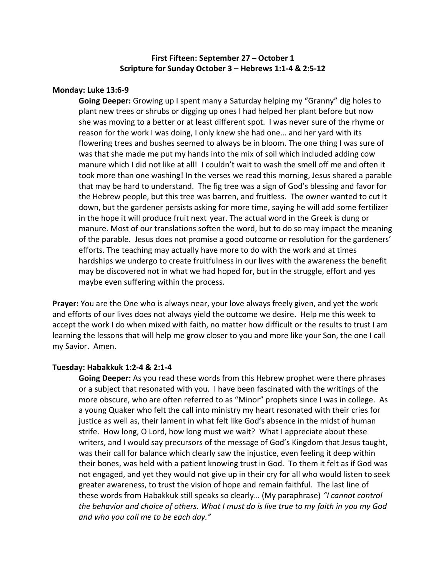# **First Fifteen: September 27 – October 1 Scripture for Sunday October 3 – Hebrews 1:1-4 & 2:5-12**

### **Monday: Luke 13:6-9**

**Going Deeper:** Growing up I spent many a Saturday helping my "Granny" dig holes to plant new trees or shrubs or digging up ones I had helped her plant before but now she was moving to a better or at least different spot. I was never sure of the rhyme or reason for the work I was doing, I only knew she had one… and her yard with its flowering trees and bushes seemed to always be in bloom. The one thing I was sure of was that she made me put my hands into the mix of soil which included adding cow manure which I did not like at all! I couldn't wait to wash the smell off me and often it took more than one washing! In the verses we read this morning, Jesus shared a parable that may be hard to understand. The fig tree was a sign of God's blessing and favor for the Hebrew people, but this tree was barren, and fruitless. The owner wanted to cut it down, but the gardener persists asking for more time, saying he will add some fertilizer in the hope it will produce fruit next year. The actual word in the Greek is dung or manure. Most of our translations soften the word, but to do so may impact the meaning of the parable. Jesus does not promise a good outcome or resolution for the gardeners' efforts. The teaching may actually have more to do with the work and at times hardships we undergo to create fruitfulness in our lives with the awareness the benefit may be discovered not in what we had hoped for, but in the struggle, effort and yes maybe even suffering within the process.

**Prayer:** You are the One who is always near, your love always freely given, and yet the work and efforts of our lives does not always yield the outcome we desire. Help me this week to accept the work I do when mixed with faith, no matter how difficult or the results to trust I am learning the lessons that will help me grow closer to you and more like your Son, the one I call my Savior. Amen.

#### **Tuesday: Habakkuk 1:2-4 & 2:1-4**

**Going Deeper:** As you read these words from this Hebrew prophet were there phrases or a subject that resonated with you. I have been fascinated with the writings of the more obscure, who are often referred to as "Minor" prophets since I was in college. As a young Quaker who felt the call into ministry my heart resonated with their cries for justice as well as, their lament in what felt like God's absence in the midst of human strife. How long, O Lord, how long must we wait? What I appreciate about these writers, and I would say precursors of the message of God's Kingdom that Jesus taught, was their call for balance which clearly saw the injustice, even feeling it deep within their bones, was held with a patient knowing trust in God. To them it felt as if God was not engaged, and yet they would not give up in their cry for all who would listen to seek greater awareness, to trust the vision of hope and remain faithful. The last line of these words from Habakkuk still speaks so clearly… (My paraphrase) *"I cannot control the behavior and choice of others. What I must do is live true to my faith in you my God and who you call me to be each day."*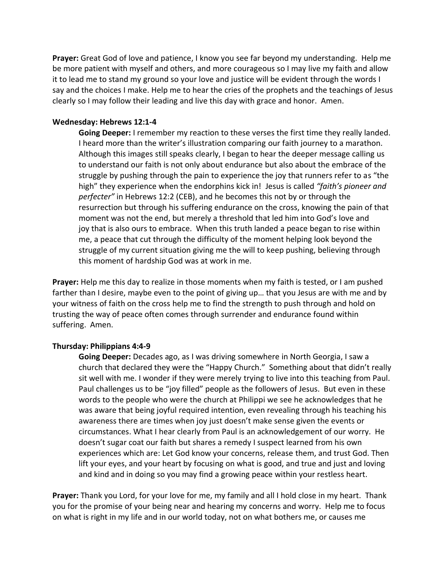**Prayer:** Great God of love and patience, I know you see far beyond my understanding. Help me be more patient with myself and others, and more courageous so I may live my faith and allow it to lead me to stand my ground so your love and justice will be evident through the words I say and the choices I make. Help me to hear the cries of the prophets and the teachings of Jesus clearly so I may follow their leading and live this day with grace and honor. Amen.

### **Wednesday: Hebrews 12:1-4**

**Going Deeper:** I remember my reaction to these verses the first time they really landed. I heard more than the writer's illustration comparing our faith journey to a marathon. Although this images still speaks clearly, I began to hear the deeper message calling us to understand our faith is not only about endurance but also about the embrace of the struggle by pushing through the pain to experience the joy that runners refer to as "the high" they experience when the endorphins kick in! Jesus is called *"faith's pioneer and perfecter"* in Hebrews 12:2 (CEB), and he becomes this not by or through the resurrection but through his suffering endurance on the cross, knowing the pain of that moment was not the end, but merely a threshold that led him into God's love and joy that is also ours to embrace. When this truth landed a peace began to rise within me, a peace that cut through the difficulty of the moment helping look beyond the struggle of my current situation giving me the will to keep pushing, believing through this moment of hardship God was at work in me.

**Prayer:** Help me this day to realize in those moments when my faith is tested, or I am pushed farther than I desire, maybe even to the point of giving up… that you Jesus are with me and by your witness of faith on the cross help me to find the strength to push through and hold on trusting the way of peace often comes through surrender and endurance found within suffering. Amen.

## **Thursday: Philippians 4:4-9**

**Going Deeper:** Decades ago, as I was driving somewhere in North Georgia, I saw a church that declared they were the "Happy Church." Something about that didn't really sit well with me. I wonder if they were merely trying to live into this teaching from Paul. Paul challenges us to be "joy filled" people as the followers of Jesus. But even in these words to the people who were the church at Philippi we see he acknowledges that he was aware that being joyful required intention, even revealing through his teaching his awareness there are times when joy just doesn't make sense given the events or circumstances. What I hear clearly from Paul is an acknowledgement of our worry. He doesn't sugar coat our faith but shares a remedy I suspect learned from his own experiences which are: Let God know your concerns, release them, and trust God. Then lift your eyes, and your heart by focusing on what is good, and true and just and loving and kind and in doing so you may find a growing peace within your restless heart.

**Prayer:** Thank you Lord, for your love for me, my family and all I hold close in my heart. Thank you for the promise of your being near and hearing my concerns and worry. Help me to focus on what is right in my life and in our world today, not on what bothers me, or causes me